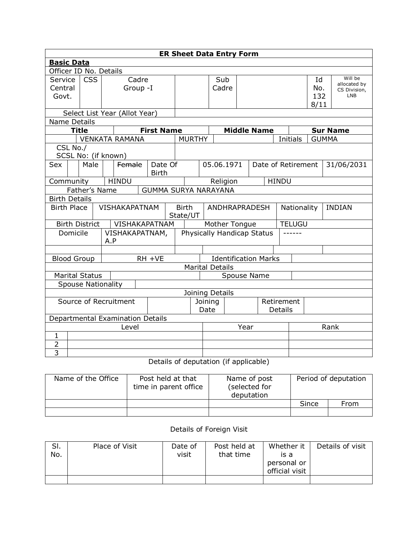|                                                                   | <b>ER Sheet Data Entry Form</b>                       |                       |     |                               |  |                   |  |                                   |      |                              |  |                             |          |               |              |               |                         |
|-------------------------------------------------------------------|-------------------------------------------------------|-----------------------|-----|-------------------------------|--|-------------------|--|-----------------------------------|------|------------------------------|--|-----------------------------|----------|---------------|--------------|---------------|-------------------------|
|                                                                   | <b>Basic Data</b>                                     |                       |     |                               |  |                   |  |                                   |      |                              |  |                             |          |               |              |               |                         |
| Officer ID No. Details                                            |                                                       |                       |     |                               |  |                   |  |                                   |      |                              |  |                             |          |               |              |               |                         |
| Service                                                           |                                                       | <b>CSS</b>            |     | Cadre                         |  |                   |  |                                   |      | Sub                          |  |                             |          |               | Id           |               | Will be<br>allocated by |
| Central                                                           |                                                       |                       |     | Group -I                      |  |                   |  |                                   |      | Cadre                        |  |                             |          |               | No.          |               | CS Division,            |
| Govt.                                                             |                                                       |                       |     |                               |  |                   |  |                                   |      |                              |  |                             |          |               | 132          |               | <b>LNB</b>              |
|                                                                   |                                                       |                       |     | Select List Year (Allot Year) |  |                   |  |                                   |      |                              |  |                             |          |               | 8/11         |               |                         |
| Name Details                                                      |                                                       |                       |     |                               |  |                   |  |                                   |      |                              |  |                             |          |               |              |               |                         |
|                                                                   | <b>Title</b>                                          |                       |     |                               |  | <b>First Name</b> |  |                                   |      |                              |  | <b>Middle Name</b>          |          |               |              |               | <b>Sur Name</b>         |
|                                                                   |                                                       |                       |     | <b>VENKATA RAMANA</b>         |  |                   |  | <b>MURTHY</b>                     |      |                              |  |                             | Initials |               | <b>GUMMA</b> |               |                         |
|                                                                   | CSL No./                                              |                       |     |                               |  |                   |  |                                   |      |                              |  |                             |          |               |              |               |                         |
|                                                                   | SCSL No: (if known)                                   |                       |     |                               |  |                   |  |                                   |      |                              |  |                             |          |               |              |               |                         |
| Sex                                                               |                                                       | Male                  |     | Female                        |  | Date Of           |  |                                   |      | 05.06.1971                   |  | Date of Retirement          |          |               |              |               | 31/06/2031              |
|                                                                   | <b>Birth</b>                                          |                       |     |                               |  |                   |  |                                   |      |                              |  |                             |          |               |              |               |                         |
|                                                                   | <b>HINDU</b><br><b>HINDU</b><br>Community<br>Religion |                       |     |                               |  |                   |  |                                   |      |                              |  |                             |          |               |              |               |                         |
|                                                                   | Father's Name<br><b>GUMMA SURYA NARAYANA</b>          |                       |     |                               |  |                   |  |                                   |      |                              |  |                             |          |               |              |               |                         |
| <b>Birth Details</b>                                              |                                                       |                       |     |                               |  |                   |  |                                   |      |                              |  |                             |          |               |              |               |                         |
| <b>Birth Place</b>                                                |                                                       |                       |     | <b>VISHAKAPATNAM</b>          |  |                   |  | <b>Birth</b><br>State/UT          |      | ANDHRAPRADESH<br>Nationality |  |                             |          |               |              | <b>INDIAN</b> |                         |
|                                                                   |                                                       | <b>Birth District</b> |     |                               |  | VISHAKAPATNAM     |  |                                   |      | Mother Tongue                |  |                             |          | <b>TELUGU</b> |              |               |                         |
|                                                                   | Domicile                                              |                       | A.P | VISHAKAPATNAM,                |  |                   |  | <b>Physically Handicap Status</b> |      |                              |  |                             |          |               |              |               |                         |
|                                                                   |                                                       |                       |     |                               |  |                   |  |                                   |      |                              |  |                             |          |               |              |               |                         |
|                                                                   |                                                       | <b>Blood Group</b>    |     |                               |  | RH +VE            |  |                                   |      |                              |  | <b>Identification Marks</b> |          |               |              |               |                         |
|                                                                   |                                                       |                       |     |                               |  |                   |  |                                   |      | <b>Marital Details</b>       |  |                             |          |               |              |               |                         |
|                                                                   |                                                       | <b>Marital Status</b> |     |                               |  |                   |  |                                   |      |                              |  | Spouse Name                 |          |               |              |               |                         |
|                                                                   | <b>Spouse Nationality</b>                             |                       |     |                               |  |                   |  |                                   |      |                              |  |                             |          |               |              |               |                         |
|                                                                   | Joining Details                                       |                       |     |                               |  |                   |  |                                   |      |                              |  |                             |          |               |              |               |                         |
| Source of Recruitment<br>Joining<br>Retirement<br>Date<br>Details |                                                       |                       |     |                               |  |                   |  |                                   |      |                              |  |                             |          |               |              |               |                         |
|                                                                   | Departmental Examination Details                      |                       |     |                               |  |                   |  |                                   |      |                              |  |                             |          |               |              |               |                         |
| Level                                                             |                                                       |                       |     |                               |  |                   |  |                                   | Year |                              |  |                             |          | Rank          |              |               |                         |
| 1                                                                 |                                                       |                       |     |                               |  |                   |  |                                   |      |                              |  |                             |          |               |              |               |                         |
| 2                                                                 |                                                       |                       |     |                               |  |                   |  |                                   |      |                              |  |                             |          |               |              |               |                         |
| 3                                                                 |                                                       |                       |     |                               |  |                   |  |                                   |      |                              |  |                             |          |               |              |               |                         |

## Details of deputation (if applicable)

| Name of the Office | Post held at that<br>time in parent office | Name of post<br>(selected for<br>deputation | Period of deputation |      |  |  |
|--------------------|--------------------------------------------|---------------------------------------------|----------------------|------|--|--|
|                    |                                            |                                             | Since                | From |  |  |
|                    |                                            |                                             |                      |      |  |  |

## Details of Foreign Visit

| SI.<br>No. | Place of Visit | Date of<br>visit | Post held at<br>that time | Whether it<br>is a<br>personal or<br>official visit | Details of visit |
|------------|----------------|------------------|---------------------------|-----------------------------------------------------|------------------|
|            |                |                  |                           |                                                     |                  |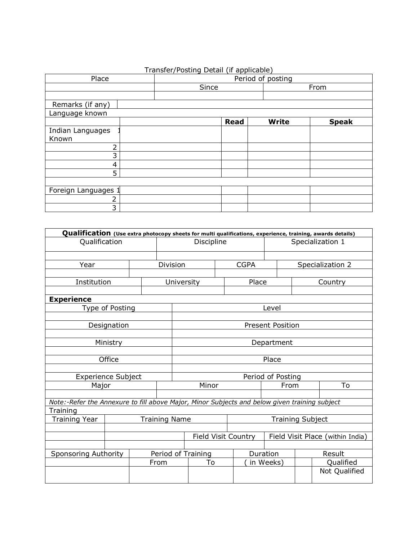|                     | Transier/Posting Detail (ii applicable) |             |              |              |  |  |  |  |
|---------------------|-----------------------------------------|-------------|--------------|--------------|--|--|--|--|
| Place               | Period of posting                       |             |              |              |  |  |  |  |
|                     | Since                                   |             |              | From         |  |  |  |  |
|                     |                                         |             |              |              |  |  |  |  |
| Remarks (if any)    |                                         |             |              |              |  |  |  |  |
| Language known      |                                         |             |              |              |  |  |  |  |
|                     |                                         | <b>Read</b> | <b>Write</b> | <b>Speak</b> |  |  |  |  |
| Indian Languages    |                                         |             |              |              |  |  |  |  |
| Known               |                                         |             |              |              |  |  |  |  |
| 2                   |                                         |             |              |              |  |  |  |  |
| 3                   |                                         |             |              |              |  |  |  |  |
| 4                   |                                         |             |              |              |  |  |  |  |
| 5                   |                                         |             |              |              |  |  |  |  |
|                     |                                         |             |              |              |  |  |  |  |
| Foreign Languages 1 |                                         |             |              |              |  |  |  |  |
| 2                   |                                         |             |              |              |  |  |  |  |
| 3                   |                                         |             |              |              |  |  |  |  |

| Qualification (Use extra photocopy sheets for multi qualifications, experience, training, awards details) |                 |  |                    |                         |            |  |                            |           |                  |                                  |  |  |
|-----------------------------------------------------------------------------------------------------------|-----------------|--|--------------------|-------------------------|------------|--|----------------------------|-----------|------------------|----------------------------------|--|--|
| Qualification                                                                                             |                 |  |                    |                         | Discipline |  |                            |           |                  | Specialization 1                 |  |  |
|                                                                                                           |                 |  |                    |                         |            |  |                            |           |                  |                                  |  |  |
| Division<br>Year                                                                                          |                 |  |                    |                         |            |  | <b>CGPA</b>                |           | Specialization 2 |                                  |  |  |
|                                                                                                           |                 |  |                    |                         |            |  |                            |           |                  |                                  |  |  |
| Institution                                                                                               |                 |  |                    |                         | University |  | Place                      |           |                  | Country                          |  |  |
|                                                                                                           |                 |  |                    |                         |            |  |                            |           |                  |                                  |  |  |
| <b>Experience</b>                                                                                         |                 |  |                    |                         |            |  |                            |           |                  |                                  |  |  |
|                                                                                                           | Type of Posting |  |                    |                         |            |  |                            | Level     |                  |                                  |  |  |
|                                                                                                           |                 |  |                    |                         |            |  |                            |           |                  |                                  |  |  |
|                                                                                                           | Designation     |  |                    | <b>Present Position</b> |            |  |                            |           |                  |                                  |  |  |
|                                                                                                           |                 |  |                    |                         |            |  |                            |           |                  |                                  |  |  |
|                                                                                                           | Ministry        |  |                    | Department              |            |  |                            |           |                  |                                  |  |  |
|                                                                                                           |                 |  |                    |                         |            |  |                            |           |                  |                                  |  |  |
|                                                                                                           | Office          |  |                    | Place                   |            |  |                            |           |                  |                                  |  |  |
|                                                                                                           |                 |  |                    |                         |            |  |                            |           |                  |                                  |  |  |
| <b>Experience Subject</b>                                                                                 |                 |  |                    | Period of Posting       |            |  |                            |           |                  |                                  |  |  |
| Major                                                                                                     |                 |  |                    |                         | Minor      |  |                            |           | To<br>From       |                                  |  |  |
|                                                                                                           |                 |  |                    |                         |            |  |                            |           |                  |                                  |  |  |
| Note:-Refer the Annexure to fill above Major, Minor Subjects and below given training subject             |                 |  |                    |                         |            |  |                            |           |                  |                                  |  |  |
| Training                                                                                                  |                 |  |                    |                         |            |  |                            |           |                  |                                  |  |  |
| <b>Training Year</b><br><b>Training Name</b>                                                              |                 |  |                    | <b>Training Subject</b> |            |  |                            |           |                  |                                  |  |  |
|                                                                                                           |                 |  |                    |                         |            |  |                            |           |                  |                                  |  |  |
|                                                                                                           |                 |  |                    |                         |            |  | <b>Field Visit Country</b> |           |                  | Field Visit Place (within India) |  |  |
|                                                                                                           |                 |  |                    |                         |            |  |                            |           |                  |                                  |  |  |
| Sponsoring Authority                                                                                      |                 |  | Period of Training |                         |            |  |                            | Duration  |                  | Result                           |  |  |
|                                                                                                           |                 |  | From               |                         | To         |  |                            | in Weeks) |                  | Qualified                        |  |  |
|                                                                                                           |                 |  |                    |                         |            |  |                            |           |                  | Not Qualified                    |  |  |
|                                                                                                           |                 |  |                    |                         |            |  |                            |           |                  |                                  |  |  |

## Transfer/Posting Detail (if applicable)